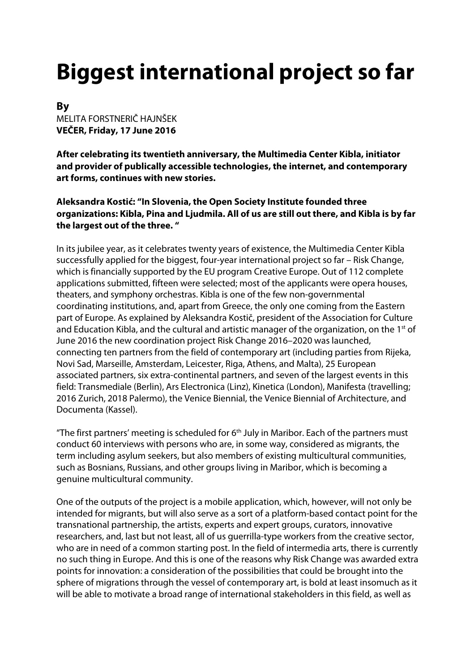# **Biggest international project so far**

**By**  MELITA FORSTNERIČ HAJNŠEK **VEČER, Friday, 17 June 2016** 

**After celebrating its twentieth anniversary, the Multimedia Center Kibla, initiator and provider of publically accessible technologies, the internet, and contemporary art forms, continues with new stories.** 

**Aleksandra Kostić: "In Slovenia, the Open Society Institute founded three organizations: Kibla, Pina and Ljudmila. All of us are still out there, and Kibla is by far the largest out of the three. "** 

In its jubilee year, as it celebrates twenty years of existence, the Multimedia Center Kibla successfully applied for the biggest, four-year international project so far – Risk Change, which is financially supported by the EU program Creative Europe. Out of 112 complete applications submitted, fifteen were selected; most of the applicants were opera houses, theaters, and symphony orchestras. Kibla is one of the few non-governmental coordinating institutions, and, apart from Greece, the only one coming from the Eastern part of Europe. As explained by Aleksandra Kostič, president of the Association for Culture and Education Kibla, and the cultural and artistic manager of the organization, on the  $1<sup>st</sup>$  of June 2016 the new coordination project Risk Change 2016–2020 was launched, connecting ten partners from the field of contemporary art (including parties from Rijeka, Novi Sad, Marseille, Amsterdam, Leicester, Riga, Athens, and Malta), 25 European associated partners, six extra-continental partners, and seven of the largest events in this field: Transmediale (Berlin), Ars Electronica (Linz), Kinetica (London), Manifesta (travelling; 2016 Zurich, 2018 Palermo), the Venice Biennial, the Venice Biennial of Architecture, and Documenta (Kassel).

"The first partners' meeting is scheduled for  $6<sup>th</sup>$  July in Maribor. Each of the partners must conduct 60 interviews with persons who are, in some way, considered as migrants, the term including asylum seekers, but also members of existing multicultural communities, such as Bosnians, Russians, and other groups living in Maribor, which is becoming a genuine multicultural community.

One of the outputs of the project is a mobile application, which, however, will not only be intended for migrants, but will also serve as a sort of a platform-based contact point for the transnational partnership, the artists, experts and expert groups, curators, innovative researchers, and, last but not least, all of us guerrilla-type workers from the creative sector, who are in need of a common starting post. In the field of intermedia arts, there is currently no such thing in Europe. And this is one of the reasons why Risk Change was awarded extra points for innovation: a consideration of the possibilities that could be brought into the sphere of migrations through the vessel of contemporary art, is bold at least insomuch as it will be able to motivate a broad range of international stakeholders in this field, as well as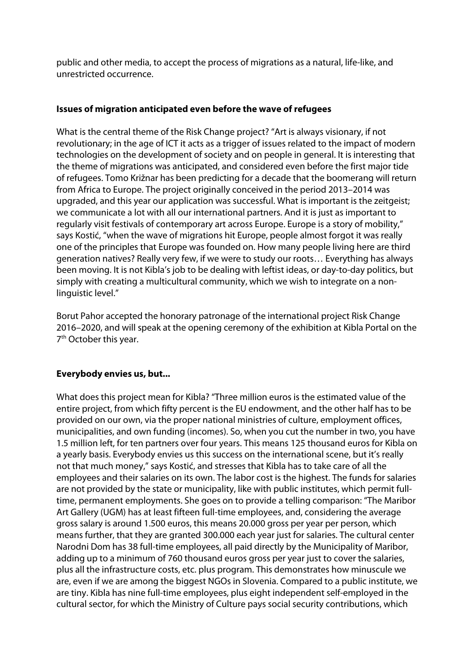public and other media, to accept the process of migrations as a natural, life-like, and unrestricted occurrence.

### **Issues of migration anticipated even before the wave of refugees**

What is the central theme of the Risk Change project? "Art is always visionary, if not revolutionary; in the age of ICT it acts as a trigger of issues related to the impact of modern technologies on the development of society and on people in general. It is interesting that the theme of migrations was anticipated, and considered even before the first major tide of refugees. Tomo Križnar has been predicting for a decade that the boomerang will return from Africa to Europe. The project originally conceived in the period 2013–2014 was upgraded, and this year our application was successful. What is important is the zeitgeist; we communicate a lot with all our international partners. And it is just as important to regularly visit festivals of contemporary art across Europe. Europe is a story of mobility," says Kostić, "when the wave of migrations hit Europe, people almost forgot it was really one of the principles that Europe was founded on. How many people living here are third generation natives? Really very few, if we were to study our roots… Everything has always been moving. It is not Kibla's job to be dealing with leftist ideas, or day-to-day politics, but simply with creating a multicultural community, which we wish to integrate on a nonlinguistic level."

Borut Pahor accepted the honorary patronage of the international project Risk Change 2016–2020, and will speak at the opening ceremony of the exhibition at Kibla Portal on the 7<sup>th</sup> October this year.

# **Everybody envies us, but...**

What does this project mean for Kibla? "Three million euros is the estimated value of the entire project, from which fifty percent is the EU endowment, and the other half has to be provided on our own, via the proper national ministries of culture, employment offices, municipalities, and own funding (incomes). So, when you cut the number in two, you have 1.5 million left, for ten partners over four years. This means 125 thousand euros for Kibla on a yearly basis. Everybody envies us this success on the international scene, but it's really not that much money," says Kostić, and stresses that Kibla has to take care of all the employees and their salaries on its own. The labor cost is the highest. The funds for salaries are not provided by the state or municipality, like with public institutes, which permit fulltime, permanent employments. She goes on to provide a telling comparison: "The Maribor Art Gallery (UGM) has at least fifteen full-time employees, and, considering the average gross salary is around 1.500 euros, this means 20.000 gross per year per person, which means further, that they are granted 300.000 each year just for salaries. The cultural center Narodni Dom has 38 full-time employees, all paid directly by the Municipality of Maribor, adding up to a minimum of 760 thousand euros gross per year just to cover the salaries, plus all the infrastructure costs, etc. plus program. This demonstrates how minuscule we are, even if we are among the biggest NGOs in Slovenia. Compared to a public institute, we are tiny. Kibla has nine full-time employees, plus eight independent self-employed in the cultural sector, for which the Ministry of Culture pays social security contributions, which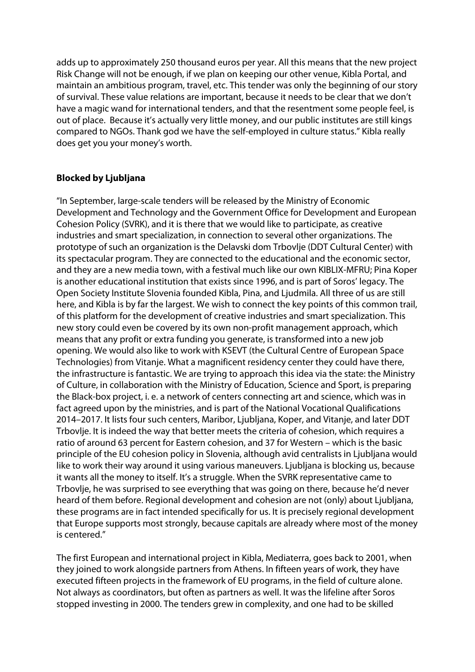adds up to approximately 250 thousand euros per year. All this means that the new project Risk Change will not be enough, if we plan on keeping our other venue, Kibla Portal, and maintain an ambitious program, travel, etc. This tender was only the beginning of our story of survival. These value relations are important, because it needs to be clear that we don't have a magic wand for international tenders, and that the resentment some people feel, is out of place. Because it's actually very little money, and our public institutes are still kings compared to NGOs. Thank god we have the self-employed in culture status." Kibla really does get you your money's worth.

### **Blocked by Ljubljana**

"In September, large-scale tenders will be released by the Ministry of Economic Development and Technology and the Government Office for Development and European Cohesion Policy (SVRK), and it is there that we would like to participate, as creative industries and smart specialization, in connection to several other organizations. The prototype of such an organization is the Delavski dom Trbovlje (DDT Cultural Center) with its spectacular program. They are connected to the educational and the economic sector, and they are a new media town, with a festival much like our own KIBLIX-MFRU; Pina Koper is another educational institution that exists since 1996, and is part of Soros' legacy. The Open Society Institute Slovenia founded Kibla, Pina, and Ljudmila. All three of us are still here, and Kibla is by far the largest. We wish to connect the key points of this common trail, of this platform for the development of creative industries and smart specialization. This new story could even be covered by its own non-profit management approach, which means that any profit or extra funding you generate, is transformed into a new job opening. We would also like to work with KSEVT (the Cultural Centre of European Space Technologies) from Vitanje. What a magnificent residency center they could have there, the infrastructure is fantastic. We are trying to approach this idea via the state: the Ministry of Culture, in collaboration with the Ministry of Education, Science and Sport, is preparing the Black-box project, i. e. a network of centers connecting art and science, which was in fact agreed upon by the ministries, and is part of the National Vocational Qualifications 2014–2017. It lists four such centers, Maribor, Ljubljana, Koper, and Vitanje, and later DDT Trbovlje. It is indeed the way that better meets the criteria of cohesion, which requires a ratio of around 63 percent for Eastern cohesion, and 37 for Western – which is the basic principle of the EU cohesion policy in Slovenia, although avid centralists in Ljubljana would like to work their way around it using various maneuvers. Ljubljana is blocking us, because it wants all the money to itself. It's a struggle. When the SVRK representative came to Trbovlje, he was surprised to see everything that was going on there, because he'd never heard of them before. Regional development and cohesion are not (only) about Ljubljana, these programs are in fact intended specifically for us. It is precisely regional development that Europe supports most strongly, because capitals are already where most of the money is centered."

The first European and international project in Kibla, Mediaterra, goes back to 2001, when they joined to work alongside partners from Athens. In fifteen years of work, they have executed fifteen projects in the framework of EU programs, in the field of culture alone. Not always as coordinators, but often as partners as well. It was the lifeline after Soros stopped investing in 2000. The tenders grew in complexity, and one had to be skilled